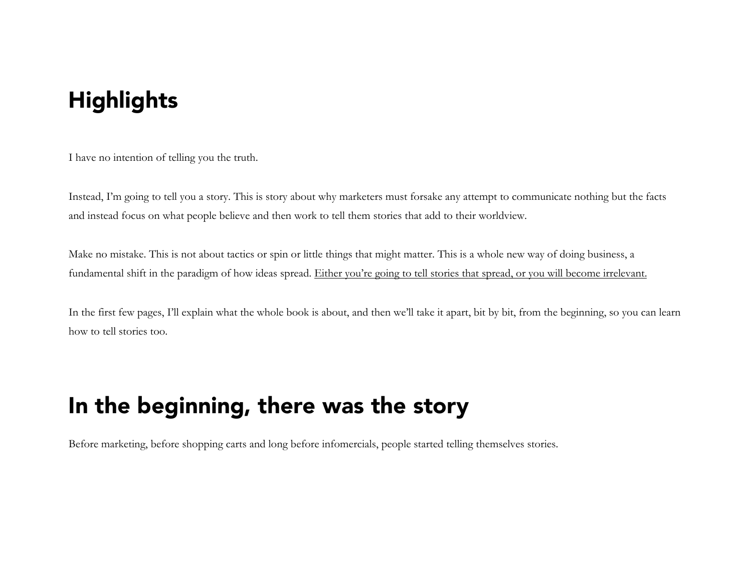## **Highlights**

I have no intention of telling you the truth.

Instead, I'm going to tell you a story. This is story about why marketers must forsake any attempt to communicate nothing but the facts and instead focus on what people believe and then work to tell them stories that add to their worldview.

Make no mistake. This is not about tactics or spin or little things that might matter. This is a whole new way of doing business, a fundamental shift in the paradigm of how ideas spread. Either you're going to tell stories that spread, or you will become irrelevant.

In the first few pages, I'll explain what the whole book is about, and then we'll take it apart, bit by bit, from the beginning, so you can learn how to tell stories too.

## In the beginning, there was the story

Before marketing, before shopping carts and long before infomercials, people started telling themselves stories.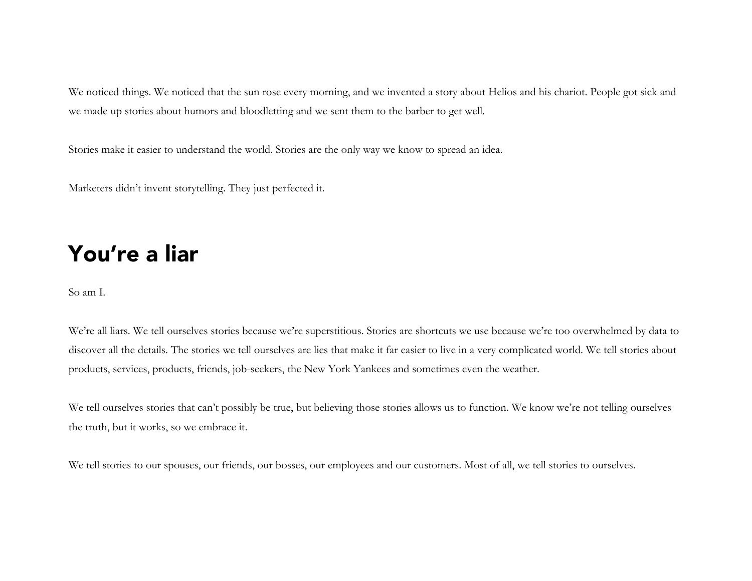We noticed things. We noticed that the sun rose every morning, and we invented a story about Helios and his chariot. People got sick and we made up stories about humors and bloodletting and we sent them to the barber to get well.

Stories make it easier to understand the world. Stories are the only way we know to spread an idea.

Marketers didn't invent storytelling. They just perfected it.

## You're a liar

So am I.

We're all liars. We tell ourselves stories because we're superstitious. Stories are shortcuts we use because we're too overwhelmed by data to discover all the details. The stories we tell ourselves are lies that make it far easier to live in a very complicated world. We tell stories about products, services, products, friends, job-seekers, the New York Yankees and sometimes even the weather.

We tell ourselves stories that can't possibly be true, but believing those stories allows us to function. We know we're not telling ourselves the truth, but it works, so we embrace it.

We tell stories to our spouses, our friends, our bosses, our employees and our customers. Most of all, we tell stories to ourselves.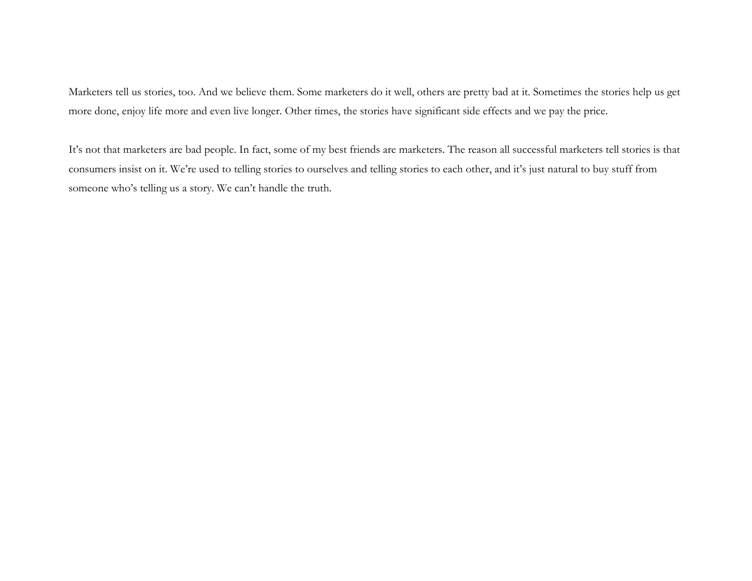Marketers tell us stories, too. And we believe them. Some marketers do it well, others are pretty bad at it. Sometimes the stories help us get more done, enjoy life more and even live longer. Other times, the stories have significant side effects and we pay the price.

It's not that marketers are bad people. In fact, some of my best friends are marketers. The reason all successful marketers tell stories is that consumers insist on it. We're used to telling stories to ourselves and telling stories to each other, and it's just natural to buy stuff from someone who's telling us a story. We can't handle the truth.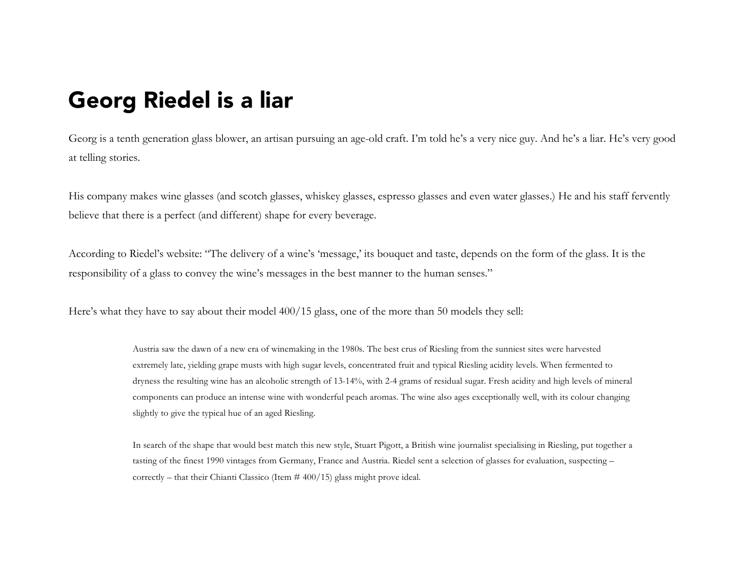## Georg Riedel is a liar

Georg is a tenth generation glass blower, an artisan pursuing an age-old craft. I'm told he's a very nice guy. And he's a liar. He's very good at telling stories.

His company makes wine glasses (and scotch glasses, whiskey glasses, espresso glasses and even water glasses.) He and his staff fervently believe that there is a perfect (and different) shape for every beverage.

According to Riedel's website: "The delivery of a wine's 'message,' its bouquet and taste, depends on the form of the glass. It is the responsibility of a glass to convey the wine's messages in the best manner to the human senses."

Here's what they have to say about their model 400/15 glass, one of the more than 50 models they sell:

Austria saw the dawn of a new era of winemaking in the 1980s. The best crus of Riesling from the sunniest sites were harvested extremely late, yielding grape musts with high sugar levels, concentrated fruit and typical Riesling acidity levels. When fermented to dryness the resulting wine has an alcoholic strength of 13-14%, with 2-4 grams of residual sugar. Fresh acidity and high levels of mineral components can produce an intense wine with wonderful peach aromas. The wine also ages exceptionally well, with its colour changing slightly to give the typical hue of an aged Riesling.

In search of the shape that would best match this new style, Stuart Pigott, a British wine journalist specialising in Riesling, put together a tasting of the finest 1990 vintages from Germany, France and Austria. Riedel sent a selection of glasses for evaluation, suspecting – correctly – that their Chianti Classico (Item  $#400/15$ ) glass might prove ideal.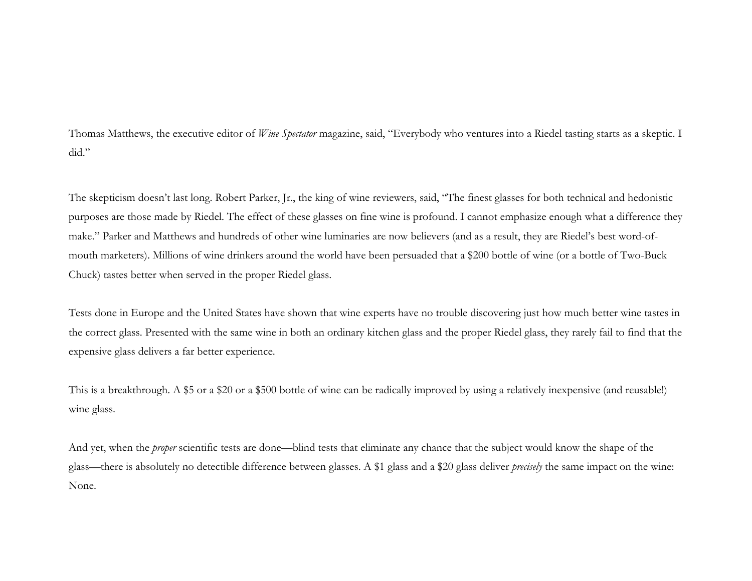Thomas Matthews, the executive editor of *Wine Spectator* magazine, said, "Everybody who ventures into a Riedel tasting starts as a skeptic. I did."

The skepticism doesn't last long. Robert Parker, Jr., the king of wine reviewers, said, "The finest glasses for both technical and hedonistic purposes are those made by Riedel. The effect of these glasses on fine wine is profound. I cannot emphasize enough what a difference they make." Parker and Matthews and hundreds of other wine luminaries are now believers (and as a result, they are Riedel's best word-ofmouth marketers). Millions of wine drinkers around the world have been persuaded that a \$200 bottle of wine (or a bottle of Two-Buck Chuck) tastes better when served in the proper Riedel glass.

Tests done in Europe and the United States have shown that wine experts have no trouble discovering just how much better wine tastes in the correct glass. Presented with the same wine in both an ordinary kitchen glass and the proper Riedel glass, they rarely fail to find that the expensive glass delivers a far better experience.

This is a breakthrough. A \$5 or a \$20 or a \$500 bottle of wine can be radically improved by using a relatively inexpensive (and reusable!) wine glass.

And yet, when the *proper* scientific tests are done—blind tests that eliminate any chance that the subject would know the shape of the glass—there is absolutely no detectible difference between glasses. A \$1 glass and a \$20 glass deliver *precisely* the same impact on the wine: None.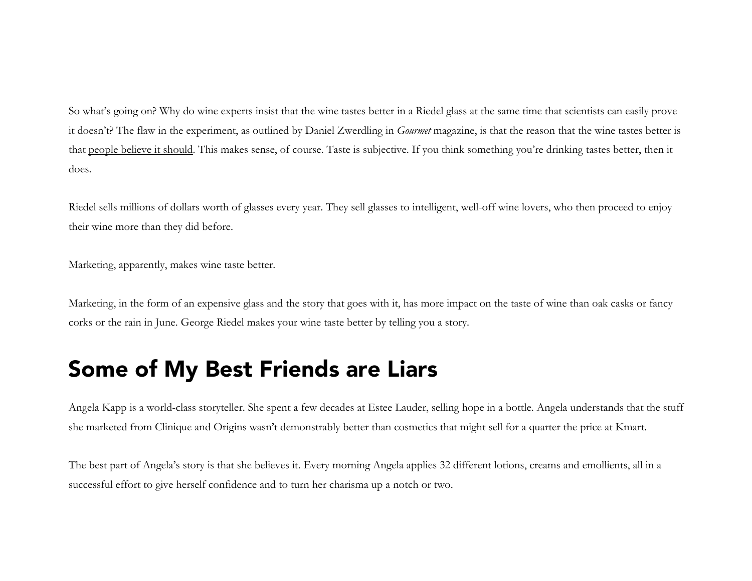So what's going on? Why do wine experts insist that the wine tastes better in a Riedel glass at the same time that scientists can easily prove it doesn't? The flaw in the experiment, as outlined by Daniel Zwerdling in *Gourmet* magazine, is that the reason that the wine tastes better is that people believe it should. This makes sense, of course. Taste is subjective. If you think something you're drinking tastes better, then it does.

Riedel sells millions of dollars worth of glasses every year. They sell glasses to intelligent, well-off wine lovers, who then proceed to enjoy their wine more than they did before.

Marketing, apparently, makes wine taste better.

Marketing, in the form of an expensive glass and the story that goes with it, has more impact on the taste of wine than oak casks or fancy corks or the rain in June. George Riedel makes your wine taste better by telling you a story.

#### Some of My Best Friends are Liars

Angela Kapp is a world-class storyteller. She spent a few decades at Estee Lauder, selling hope in a bottle. Angela understands that the stuff she marketed from Clinique and Origins wasn't demonstrably better than cosmetics that might sell for a quarter the price at Kmart.

The best part of Angela's story is that she believes it. Every morning Angela applies 32 different lotions, creams and emollients, all in a successful effort to give herself confidence and to turn her charisma up a notch or two.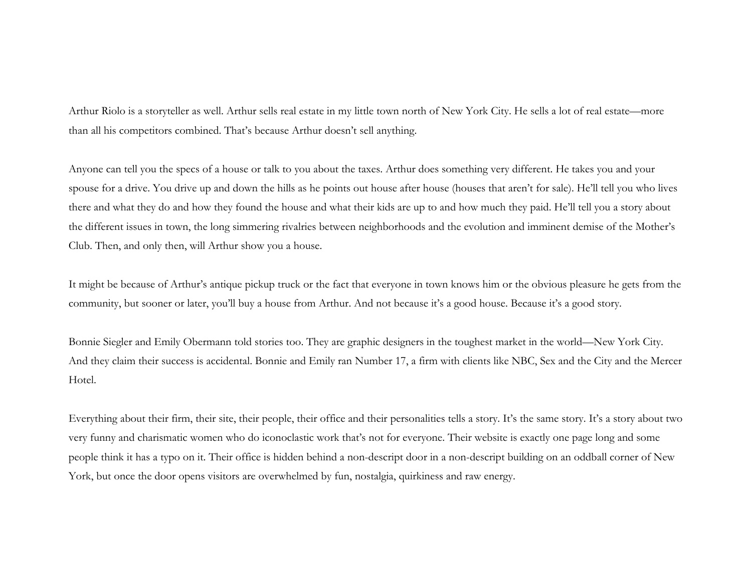Arthur Riolo is a storyteller as well. Arthur sells real estate in my little town north of New York City. He sells a lot of real estate—more than all his competitors combined. That's because Arthur doesn't sell anything.

Anyone can tell you the specs of a house or talk to you about the taxes. Arthur does something very different. He takes you and your spouse for a drive. You drive up and down the hills as he points out house after house (houses that aren't for sale). He'll tell you who lives there and what they do and how they found the house and what their kids are up to and how much they paid. He'll tell you a story about the different issues in town, the long simmering rivalries between neighborhoods and the evolution and imminent demise of the Mother's Club. Then, and only then, will Arthur show you a house.

It might be because of Arthur's antique pickup truck or the fact that everyone in town knows him or the obvious pleasure he gets from the community, but sooner or later, you'll buy a house from Arthur. And not because it's a good house. Because it's a good story.

Bonnie Siegler and Emily Obermann told stories too. They are graphic designers in the toughest market in the world—New York City. And they claim their success is accidental. Bonnie and Emily ran Number 17, a firm with clients like NBC, Sex and the City and the Mercer Hotel.

Everything about their firm, their site, their people, their office and their personalities tells a story. It's the same story. It's a story about two very funny and charismatic women who do iconoclastic work that's not for everyone. Their website is exactly one page long and some people think it has a typo on it. Their office is hidden behind a non-descript door in a non-descript building on an oddball corner of New York, but once the door opens visitors are overwhelmed by fun, nostalgia, quirkiness and raw energy.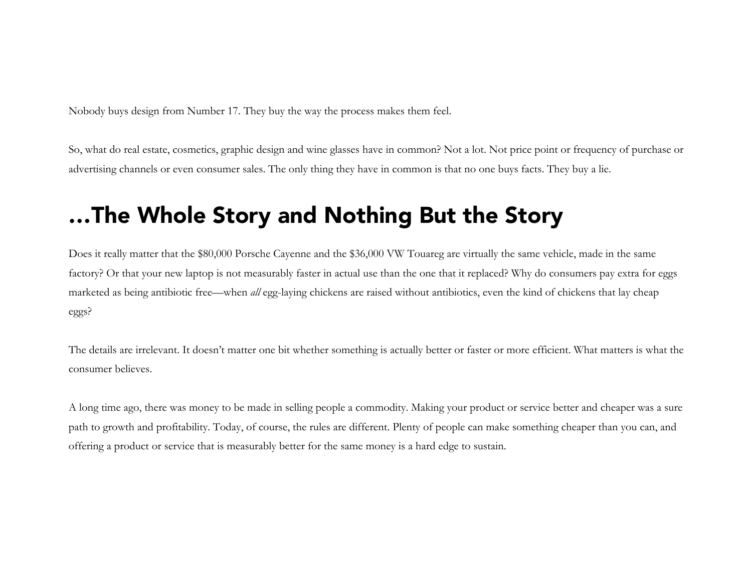Nobody buys design from Number 17. They buy the way the process makes them feel.

So, what do real estate, cosmetics, graphic design and wine glasses have in common? Not a lot. Not price point or frequency of purchase or advertising channels or even consumer sales. The only thing they have in common is that no one buys facts. They buy a lie.

### …The Whole Story and Nothing But the Story

Does it really matter that the \$80,000 Porsche Cayenne and the \$36,000 VW Touareg are virtually the same vehicle, made in the same factory? Or that your new laptop is not measurably faster in actual use than the one that it replaced? Why do consumers pay extra for eggs marketed as being antibiotic free—when *all* egg-laying chickens are raised without antibiotics, even the kind of chickens that lay cheap eggs?

The details are irrelevant. It doesn't matter one bit whether something is actually better or faster or more efficient. What matters is what the consumer believes.

A long time ago, there was money to be made in selling people a commodity. Making your product or service better and cheaper was a sure path to growth and profitability. Today, of course, the rules are different. Plenty of people can make something cheaper than you can, and offering a product or service that is measurably better for the same money is a hard edge to sustain.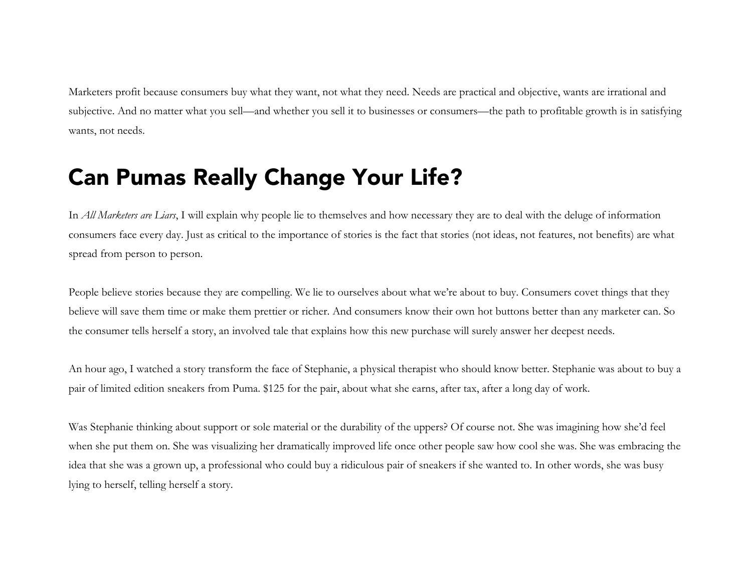Marketers profit because consumers buy what they want, not what they need. Needs are practical and objective, wants are irrational and subjective. And no matter what you sell—and whether you sell it to businesses or consumers—the path to profitable growth is in satisfying wants, not needs.

## Can Pumas Really Change Your Life?

In *All Marketers are Liars*, I will explain why people lie to themselves and how necessary they are to deal with the deluge of information consumers face every day. Just as critical to the importance of stories is the fact that stories (not ideas, not features, not benefits) are what spread from person to person.

People believe stories because they are compelling. We lie to ourselves about what we're about to buy. Consumers covet things that they believe will save them time or make them prettier or richer. And consumers know their own hot buttons better than any marketer can. So the consumer tells herself a story, an involved tale that explains how this new purchase will surely answer her deepest needs.

An hour ago, I watched a story transform the face of Stephanie, a physical therapist who should know better. Stephanie was about to buy a pair of limited edition sneakers from Puma. \$125 for the pair, about what she earns, after tax, after a long day of work.

Was Stephanie thinking about support or sole material or the durability of the uppers? Of course not. She was imagining how she'd feel when she put them on. She was visualizing her dramatically improved life once other people saw how cool she was. She was embracing the idea that she was a grown up, a professional who could buy a ridiculous pair of sneakers if she wanted to. In other words, she was busy lying to herself, telling herself a story.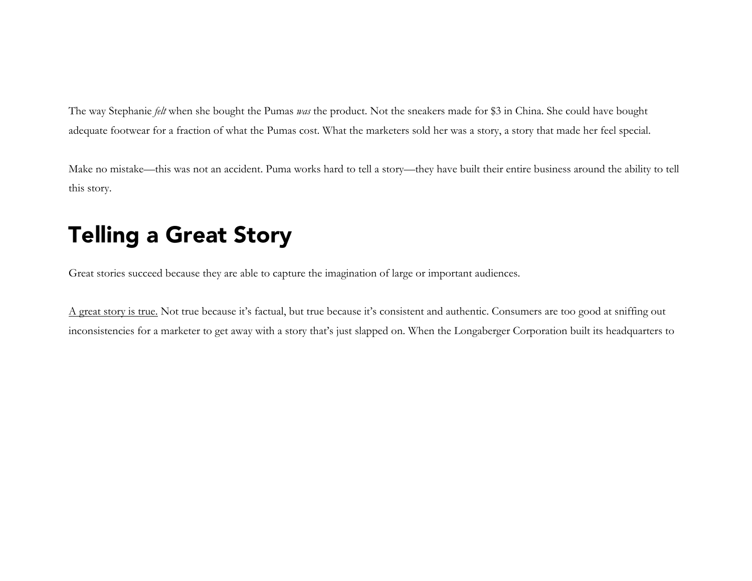The way Stephanie *felt* when she bought the Pumas *was* the product. Not the sneakers made for \$3 in China. She could have bought adequate footwear for a fraction of what the Pumas cost. What the marketers sold her was a story, a story that made her feel special.

Make no mistake—this was not an accident. Puma works hard to tell a story—they have built their entire business around the ability to tell this story.

# Telling a Great Story

Great stories succeed because they are able to capture the imagination of large or important audiences.

A great story is true. Not true because it's factual, but true because it's consistent and authentic. Consumers are too good at sniffing out inconsistencies for a marketer to get away with a story that's just slapped on. When the Longaberger Corporation built its headquarters to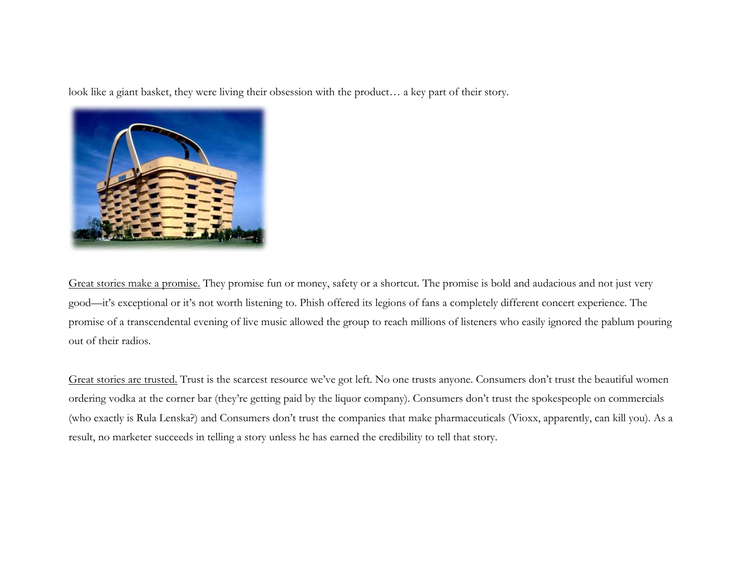look like a giant basket, they were living their obsession with the product… a key part of their story.



Great stories make a promise. They promise fun or money, safety or a shortcut. The promise is bold and audacious and not just very good—it's exceptional or it's not worth listening to. Phish offered its legions of fans a completely different concert experience. The promise of a transcendental evening of live music allowed the group to reach millions of listeners who easily ignored the pablum pouring out of their radios.

Great stories are trusted. Trust is the scarcest resource we've got left. No one trusts anyone. Consumers don't trust the beautiful women ordering vodka at the corner bar (they're getting paid by the liquor company). Consumers don't trust the spokespeople on commercials (who exactly is Rula Lenska?) and Consumers don't trust the companies that make pharmaceuticals (Vioxx, apparently, can kill you). As a result, no marketer succeeds in telling a story unless he has earned the credibility to tell that story.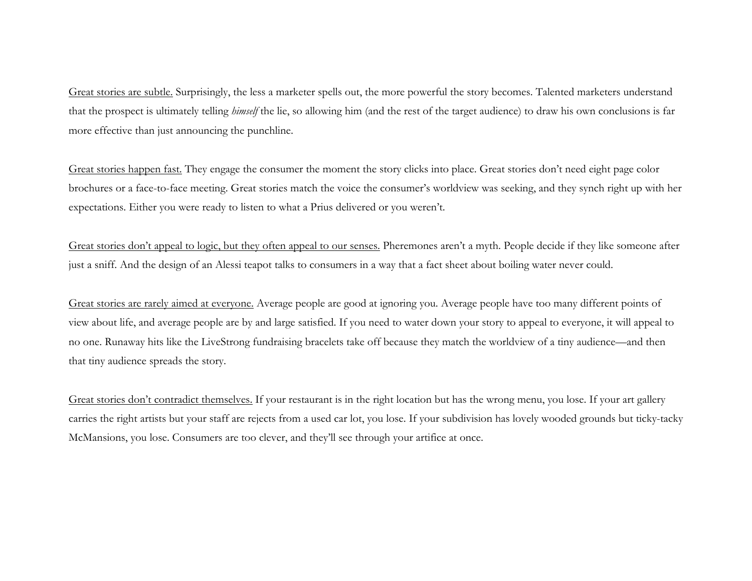Great stories are subtle. Surprisingly, the less a marketer spells out, the more powerful the story becomes. Talented marketers understand that the prospect is ultimately telling *himself* the lie, so allowing him (and the rest of the target audience) to draw his own conclusions is far more effective than just announcing the punchline.

Great stories happen fast. They engage the consumer the moment the story clicks into place. Great stories don't need eight page color brochures or a face-to-face meeting. Great stories match the voice the consumer's worldview was seeking, and they synch right up with her expectations. Either you were ready to listen to what a Prius delivered or you weren't.

Great stories don't appeal to logic, but they often appeal to our senses. Pheremones aren't a myth. People decide if they like someone after just a sniff. And the design of an Alessi teapot talks to consumers in a way that a fact sheet about boiling water never could.

Great stories are rarely aimed at everyone. Average people are good at ignoring you. Average people have too many different points of view about life, and average people are by and large satisfied. If you need to water down your story to appeal to everyone, it will appeal to no one. Runaway hits like the LiveStrong fundraising bracelets take off because they match the worldview of a tiny audience—and then that tiny audience spreads the story.

Great stories don't contradict themselves. If your restaurant is in the right location but has the wrong menu, you lose. If your art gallery carries the right artists but your staff are rejects from a used car lot, you lose. If your subdivision has lovely wooded grounds but ticky-tacky McMansions, you lose. Consumers are too clever, and they'll see through your artifice at once.